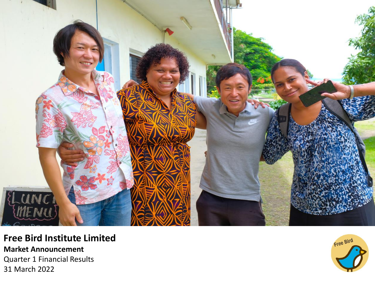

**Free Bird Institute Limited Market Announcement** Quarter 1 Financial Results 31 March 2022

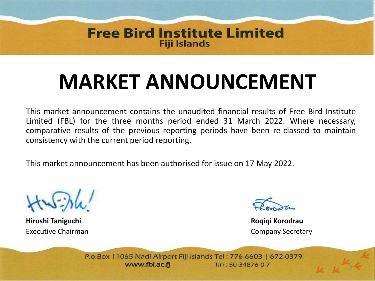#### **Free Bird Institute Limited Fiji Islands**

## **MARKET ANNOUNCEMENT**

This market announcement contains the unaudited financial results of Free Bird Institute Limited (FBL) for the three months period ended 31 March 2022. Where necessary, comparative results of the previous reporting periods have been re-classed to maintain consistency with the current period reporting.

This market announcement has been authorised for issue on 17 May 2022.

**Hiroshi Taniguchi Roqiqi Korodrau** Executive Chairman Company Secretary

P.o.Box 11065 Nadi Airport Fiji Islands Tel: 776-6603 | 672-0379 www.fbi.ac.fi Tin: 50-34876-0-7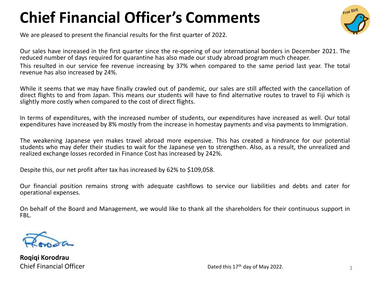### **Chief Financial Officer's Comments**



We are pleased to present the financial results for the first quarter of 2022.

Our sales have increased in the first quarter since the re-opening of our international borders in December 2021. The reduced number of days required for quarantine has also made our study abroad program much cheaper. This resulted in our service fee revenue increasing by 37% when compared to the same period last year. The total revenue has also increased by 24%.

While it seems that we may have finally crawled out of pandemic, our sales are still affected with the cancellation of direct flights to and from Japan. This means our students will have to find alternative routes to travel to Fiji which is slightly more costly when compared to the cost of direct flights.

In terms of expenditures, with the increased number of students, our expenditures have increased as well. Our total expenditures have increased by 8% mostly from the increase in homestay payments and visa payments to Immigration.

The weakening Japanese yen makes travel abroad more expensive. This has created a hindrance for our potential students who may defer their studies to wait for the Japanese yen to strengthen. Also, as a result, the unrealized and realized exchange losses recorded in Finance Cost has increased by 242%.

Despite this, our net profit after tax has increased by 62% to \$109,058.

Our financial position remains strong with adequate cashflows to service our liabilities and debts and cater for operational expenses.

On behalf of the Board and Management, we would like to thank all the shareholders for their continuous support in FBL.



**Roqiqi Korodrau** Chief Financial Officer  $\frac{3}{3}$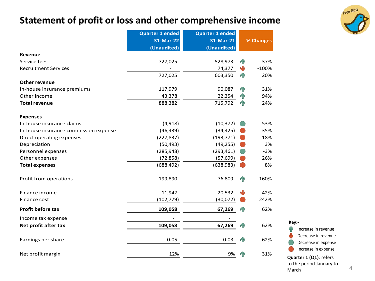#### **Statement of profit or loss and other comprehensive income**



|                                       | <b>Quarter 1 ended</b> | <b>Quarter 1 ended</b> |                |           |  |
|---------------------------------------|------------------------|------------------------|----------------|-----------|--|
|                                       | 31-Mar-22              | 31-Mar-21              |                | % Changes |  |
|                                       | (Unaudited)            | (Unaudited)            |                |           |  |
| Revenue                               |                        |                        |                |           |  |
| Service fees                          | 727,025                | 528,973                | 4 <sup>o</sup> | 37%       |  |
| <b>Recruitment Services</b>           |                        | 74,377                 | ₩              | $-100%$   |  |
|                                       | 727,025                | 603,350                | 4 <sup>N</sup> | 20%       |  |
| Other revenue                         |                        |                        |                |           |  |
| In-house insurance premiums           | 117,979                | 90,087                 | 4 <sup>o</sup> | 31%       |  |
| Other income                          | 43,378                 | 22,354                 | <b>AN</b>      | 94%       |  |
| <b>Total revenue</b>                  | 888,382                | 715,792                | 4 <sup>o</sup> | 24%       |  |
| <b>Expenses</b>                       |                        |                        |                |           |  |
| In-house insurance claims             | (4,918)                | (10, 372)              |                | $-53%$    |  |
| In-house insurance commission expense | (46, 439)              | (34, 425)              |                | 35%       |  |
| Direct operating expenses             | (227, 837)             | (193, 771)             |                | 18%       |  |
| Depreciation                          | (50, 493)              | (49, 255)              |                | 3%        |  |
| Personnel expenses                    | (285, 948)             | (293, 461)             |                | $-3%$     |  |
| Other expenses                        | (72, 858)              | (57, 699)              |                | 26%       |  |
| <b>Total expenses</b>                 | (688, 492)             | (638, 983)             |                | 8%        |  |
| Profit from operations                | 199,890                | 76,809                 | <b>AN</b>      | 160%      |  |
| Finance income                        | 11,947                 | 20,532                 | Ψ              | $-42%$    |  |
| Finance cost                          | (102, 779)             | (30,072)               |                | 242%      |  |
| Profit before tax                     | 109,058                | 67,269                 |                | 62%       |  |
| Income tax expense                    |                        |                        |                |           |  |
| Net profit after tax                  | 109,058                | 67,269                 | n <sub>N</sub> | 62%       |  |
| Earnings per share                    | 0.05                   | 0.03                   |                | 62%       |  |
| Net profit margin                     | 12%                    | 9%                     |                | 31%       |  |

**Key:-** Increase in revenue ЙÑ Decrease in revenue Decrease in expense Increase in expense **Quarter 1 (Q1)**: refers

to the period January to March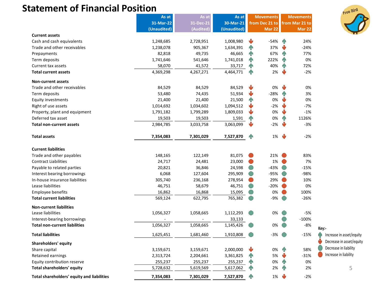#### **Statement of Financial Position**

|                                            | As at       | As at     | As at       | <b>Movements</b> |                | <b>Movements</b> |                |                          |
|--------------------------------------------|-------------|-----------|-------------|------------------|----------------|------------------|----------------|--------------------------|
|                                            | 31-Mar-22   | 31-Dec-21 | 30-Mar-21   |                  | from Dec 21 to |                  | from Mar 21 to |                          |
|                                            | (Unaudited) | (Audited) | (Unaudited) |                  | Mar 22         |                  | <b>Mar 22</b>  |                          |
| <b>Current assets</b>                      |             |           |             |                  |                |                  |                |                          |
| Cash and cash equivalents                  | 1,248,685   | 2,728,951 | 1,008,980   | Ŵ                | -54%           | 4 <sup>o</sup>   | 24%            |                          |
| Trade and other receivables                | 1,238,078   | 905,367   | 1,634,391   | <b>AN</b>        | 37%            | ψ                | $-24%$         |                          |
| Prepayments                                | 82,818      | 49,735    | 46,665      | <b>TN</b>        | 67%            | n <sub>n</sub>   | 77%            |                          |
| Term deposits                              | 1,741,646   | 541,646   | 1,741,018   | TN               | 222%           | 4 <sup>o</sup>   | 0%             |                          |
| Current tax assets                         | 58,070      | 41,572    | 33,717      | T                | 40%            | n                | 72%            |                          |
| <b>Total current assets</b>                | 4,369,298   | 4,267,271 | 4,464,771   | <b>AN</b>        | 2%             | ψ                | $-2%$          |                          |
| <b>Non-current assets</b>                  |             |           |             |                  |                |                  |                |                          |
| Trade and other receivables                | 84,529      | 84,529    | 84,529      | J                | 0%             | $\mathbf{U}$     | 0%             |                          |
| Term deposits                              | 53,480      | 74,435    | 51,934      | ₩                | $-28%$         | 4N               | 3%             |                          |
| <b>Equity investments</b>                  | 21,400      | 21,400    | 21,500      | 4                | 0%             | $\mathbf{U}$     | 0%             |                          |
| Right of use assets                        | 1,014,692   | 1,034,602 | 1,094,512   | ىل               | $-2%$          | ψ                | $-7%$          |                          |
| Property, plant and equipment              | 1,791,182   | 1,799,289 | 1,809,033   |                  | 0%             | ₩                | $-1%$          |                          |
| Deferred tax asset                         | 19,503      | 19,503    | 1,591       | 4                | 0%             | n                | 1126%          |                          |
| <b>Total non-current assets</b>            | 2,984,785   | 3,033,758 | 3,063,099   | ىل               | -2%            | J                | $-3%$          |                          |
| <b>Total assets</b>                        | 7,354,083   | 7,301,029 | 7,527,870   | <b>AN</b>        | 1%             | ψ                | $-2%$          |                          |
| <b>Current liabilities</b>                 |             |           |             |                  |                |                  |                |                          |
| Trade and other payables                   | 148,165     | 122,149   | 81,075      |                  | 21%            |                  | 83%            |                          |
| <b>Contract Liabilities</b>                | 24,717      | 24,481    | 23,000      | $\blacksquare$   | 1%             |                  | 7%             |                          |
| Payable to related parties                 | 20,821      | 36,846    | 24,598      | $\bigcirc$       | $-43%$         |                  | $-15%$         |                          |
| Interest bearing borrowings                | 6,068       | 127,604   | 295,909     |                  | -95%           |                  | $-98%$         |                          |
| In-house insurance liabilities             | 305,740     | 236,168   | 278,954     |                  | 29%            |                  | 10%            |                          |
| Lease liabilities                          | 46,751      | 58,679    | 46,751      | $\blacksquare$   | $-20%$         |                  | 0%             |                          |
| <b>Employee benefits</b>                   | 16,862      | 16,868    | 15,095      |                  | 0%             |                  | 100%           |                          |
| <b>Total current liabilities</b>           | 569,124     | 622,795   | 765,382     |                  | -9%            |                  | $-26%$         |                          |
| <b>Non-current liabilities</b>             |             |           |             |                  |                |                  |                |                          |
| Lease liabilities                          | 1,056,327   | 1,058,665 | 1,112,293   | $\bigcirc$       | 0%             |                  | $-5%$          |                          |
| Interest-bearing borrowings                |             |           | 33,133      |                  |                |                  | $-100%$        |                          |
| <b>Total non-current liabilities</b>       | 1,056,327   | 1,058,665 | 1,145,426   |                  | 0%             |                  | $-8%$          | Key:-                    |
| <b>Total liabilities</b>                   | 1,625,451   | 1,681,460 | 1,910,808   |                  | -3%            |                  | $-15%$         | Increase in asset/equity |
| Shareholders' equity                       |             |           |             |                  |                |                  |                | Decrease in asset/equity |
| Share capital                              | 3,159,671   | 3,159,671 | 2,000,000   | ♦                | 0%             | n                | 58%            | Decrease in liability    |
| Retained earnings                          | 2,313,724   | 2,204,661 | 3,361,825   | 4                | 5%             | ₩                | $-31%$         | Increase in liability    |
| Equity contribution reserve                | 255,237     | 255,237   | 255,237     | $\mathbf T$      | 0%             | <b>AN</b>        | 0%             |                          |
| <b>Total shareholders' equity</b>          | 5,728,632   | 5,619,569 | 5,617,062   | 4                | 2%             | <b>AN</b>        | 2%             | 5                        |
| Total shareholders' equity and liabilities | 7,354,083   | 7,301,029 | 7,527,870   | ИŃ               | 1%             |                  | $-2%$          |                          |

Free Bird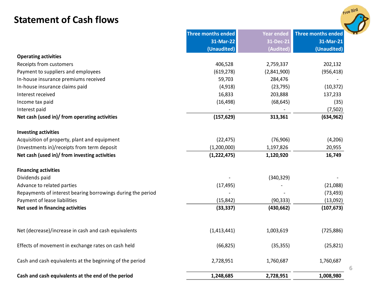#### **Statement of Cash flows**



|                                                             | <b>Three months ended</b> | <b>Year ended</b> | <b>Three months ended</b> |
|-------------------------------------------------------------|---------------------------|-------------------|---------------------------|
|                                                             | 31-Mar-22                 | 31-Dec-21         | 31-Mar-21                 |
|                                                             | (Unaudited)               | (Audited)         | (Unaudited)               |
| <b>Operating activities</b>                                 |                           |                   |                           |
| Receipts from customers                                     | 406,528                   | 2,759,337         | 202,132                   |
| Payment to suppliers and employees                          | (619, 278)                | (2,841,900)       | (956, 418)                |
| In-house insurance premiums received                        | 59,703                    | 284,476           |                           |
| In-house insurance claims paid                              | (4,918)                   | (23, 795)         | (10, 372)                 |
| Interest received                                           | 16,833                    | 203,888           | 137,233                   |
| Income tax paid                                             | (16, 498)                 | (68, 645)         | (35)                      |
| Interest paid                                               |                           |                   | (7,502)                   |
| Net cash (used in)/ from operating activities               | (157, 629)                | 313,361           | (634, 962)                |
| <b>Investing activities</b>                                 |                           |                   |                           |
| Acquisition of property, plant and equipment                | (22, 475)                 | (76,906)          | (4,206)                   |
| (Investments in)/receipts from term deposit                 | (1,200,000)               | 1,197,826         | 20,955                    |
| Net cash (used in)/ from investing activities               | (1, 222, 475)             | 1,120,920         | 16,749                    |
| <b>Financing activities</b>                                 |                           |                   |                           |
| Dividends paid                                              |                           | (340, 329)        |                           |
| Advance to related parties                                  | (17, 495)                 |                   | (21,088)                  |
| Repayments of interest bearing borrowings during the period |                           |                   | (73, 493)                 |
| Payment of lease liabilities                                | (15, 842)                 | (90, 333)         | (13,092)                  |
| Net used in financing activities                            | (33, 337)                 | (430, 662)        | (107, 673)                |
|                                                             |                           |                   |                           |
| Net (decrease)/increase in cash and cash equivalents        | (1,413,441)               | 1,003,619         | (725, 886)                |
| Effects of movement in exchange rates on cash held          | (66, 825)                 | (35, 355)         | (25, 821)                 |
| Cash and cash equivalents at the beginning of the period    | 2,728,951                 | 1,760,687         | 1,760,687                 |
| Cash and cash equivalents at the end of the period          | 1,248,685                 | 2,728,951         | 1,008,980                 |